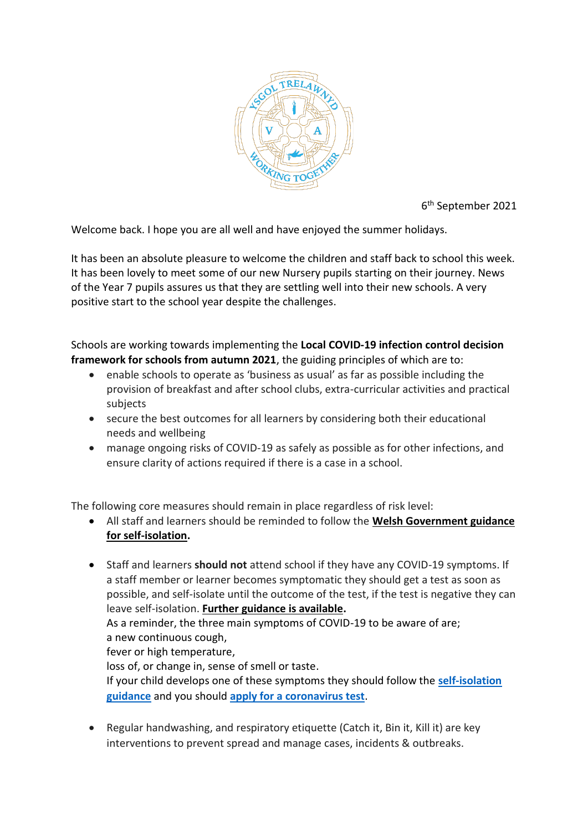

6 th September 2021

Welcome back. I hope you are all well and have enjoyed the summer holidays.

It has been an absolute pleasure to welcome the children and staff back to school this week. It has been lovely to meet some of our new Nursery pupils starting on their journey. News of the Year 7 pupils assures us that they are settling well into their new schools. A very positive start to the school year despite the challenges.

Schools are working towards implementing the **Local COVID-19 infection control decision framework for schools from autumn 2021**, the guiding principles of which are to:

- enable schools to operate as 'business as usual' as far as possible including the provision of breakfast and after school clubs, extra-curricular activities and practical subjects
- secure the best outcomes for all learners by considering both their educational needs and wellbeing
- manage ongoing risks of COVID-19 as safely as possible as for other infections, and ensure clarity of actions required if there is a case in a school.

The following core measures should remain in place regardless of risk level:

- All staff and learners should be reminded to follow the **[Welsh Government guidance](https://gov.wales/self-isolation)  [for self-isolation.](https://gov.wales/self-isolation)**
- Staff and learners **should not** attend school if they have any COVID-19 symptoms. If a staff member or learner becomes symptomatic they should get a test as soon as possible, and self-isolate until the outcome of the test, if the test is negative they can leave self-isolation. **Further [guidance is available.](https://gov.wales/contact-tracing-your-questions)** As a reminder, the three main symptoms of COVID-19 to be aware of are; a new continuous cough, fever or high temperature, loss of, or change in, sense of smell or taste. If your child develops one of these symptoms they should follow the **[self-isolation](https://gov.wales/self-isolation)  [guidance](https://gov.wales/self-isolation)** and you should **[apply for a coronavirus test](https://gov.wales/get-tested-coronavirus-covid-19)**.
- Regular handwashing, and respiratory etiquette (Catch it, Bin it, Kill it) are key interventions to prevent spread and manage cases, incidents & outbreaks.